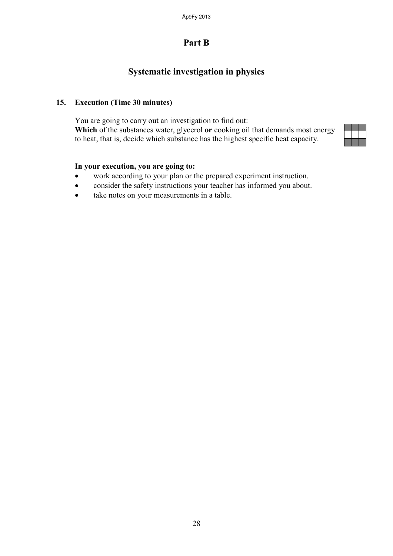# **Systematic investigation in physics**

#### **15. Execution (Time 30 minutes)**

You are going to carry out an investigation to find out: **Which** of the substances water, glycerol **or** cooking oil that demands most energy to heat, that is, decide which substance has the highest specific heat capacity.



#### **In your execution, you are going to:**

- work according to your plan or the prepared experiment instruction.
- consider the safety instructions your teacher has informed you about.
- take notes on your measurements in a table.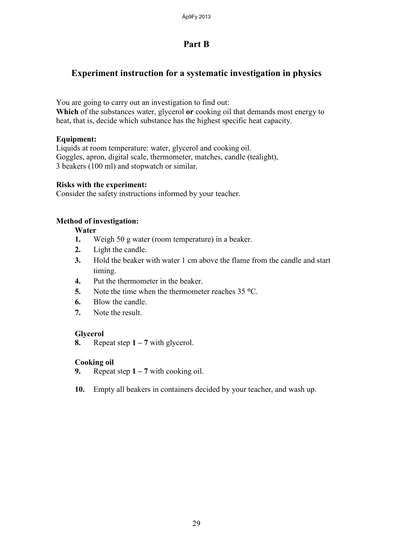### **Experiment instruction for a systematic investigation in physics**

You are going to carry out an investigation to find out:

**Which** of the substances water, glycerol **or** cooking oil that demands most energy to heat, that is, decide which substance has the highest specific heat capacity.

#### **Equipment:**

Liquids at room temperature: water, glycerol and cooking oil. Goggles, apron, digital scale, thermometer, matches, candle (tealight), 3 beakers (100 ml) and stopwatch or similar.

#### **Risks with the experiment:**

Consider the safety instructions informed by your teacher.

#### **Method of investigation:**

#### **Water**

- **1.** Weigh 50 g water (room temperature) in a beaker.
- **2.** Light the candle.
- **3.** Hold the beaker with water 1 cm above the flame from the candle and start timing.
- **4.** Put the thermometer in the beaker.
- **5.** Note the time when the thermometer reaches 35 **°**C.
- **6.** Blow the candle.
- **7.** Note the result.

#### **Glycerol**

**8.** Repeat step **1 – 7** with glycerol.

#### **Cooking oil**

- **9.** Repeat step **1 – 7** with cooking oil.
- **10.** Empty all beakers in containers decided by your teacher, and wash up.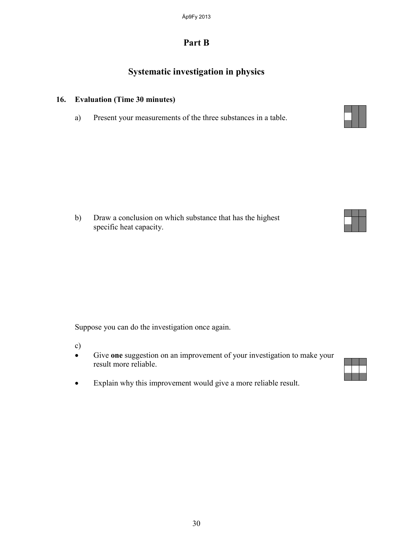# **Systematic investigation in physics**

### **16. Evaluation (Time 30 minutes)**

a) Present your measurements of the three substances in a table.



Suppose you can do the investigation once again.

c)

- Give **one** suggestion on an improvement of your investigation to make your result more reliable.
- Explain why this improvement would give a more reliable result.